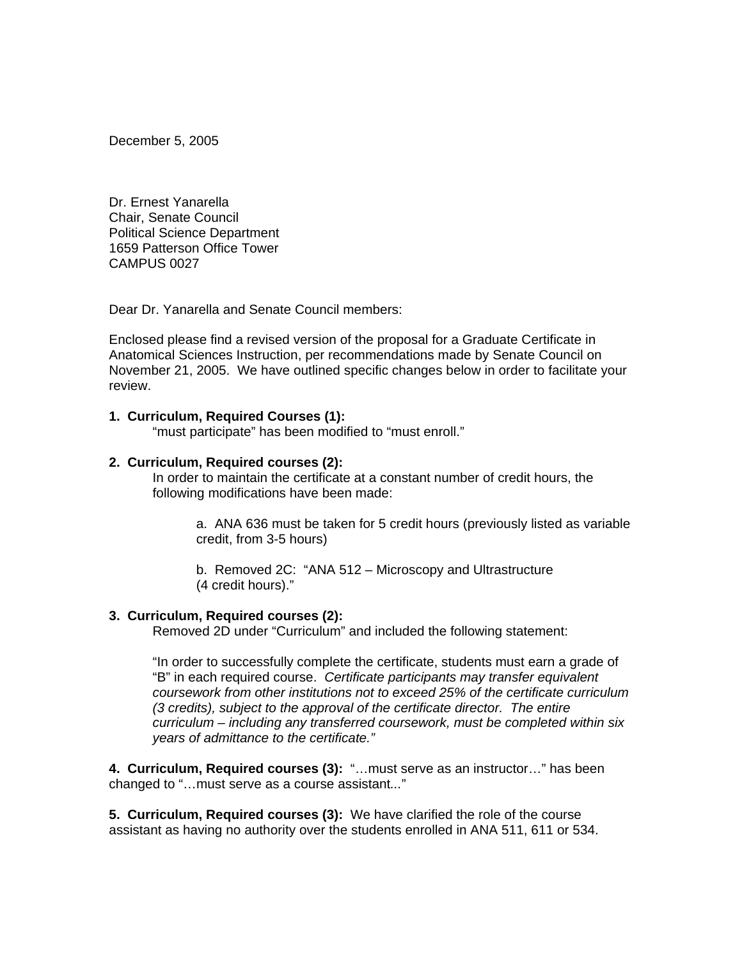December 5, 2005

Dr. Ernest Yanarella Chair, Senate Council Political Science Department 1659 Patterson Office Tower CAMPUS 0027

Dear Dr. Yanarella and Senate Council members:

Enclosed please find a revised version of the proposal for a Graduate Certificate in Anatomical Sciences Instruction, per recommendations made by Senate Council on November 21, 2005. We have outlined specific changes below in order to facilitate your review.

#### **1. Curriculum, Required Courses (1):**

"must participate" has been modified to "must enroll."

#### **2. Curriculum, Required courses (2):**

In order to maintain the certificate at a constant number of credit hours, the following modifications have been made:

> a. ANA 636 must be taken for 5 credit hours (previously listed as variable credit, from 3-5 hours)

b. Removed 2C: "ANA 512 – Microscopy and Ultrastructure (4 credit hours)."

#### **3. Curriculum, Required courses (2):**

Removed 2D under "Curriculum" and included the following statement:

"In order to successfully complete the certificate, students must earn a grade of "B" in each required course. *Certificate participants may transfer equivalent coursework from other institutions not to exceed 25% of the certificate curriculum (3 credits), subject to the approval of the certificate director. The entire curriculum – including any transferred coursework, must be completed within six years of admittance to the certificate."* 

**4. Curriculum, Required courses (3):** "…must serve as an instructor…" has been changed to "…must serve as a course assistant*...*"

**5. Curriculum, Required courses (3):** We have clarified the role of the course assistant as having no authority over the students enrolled in ANA 511, 611 or 534.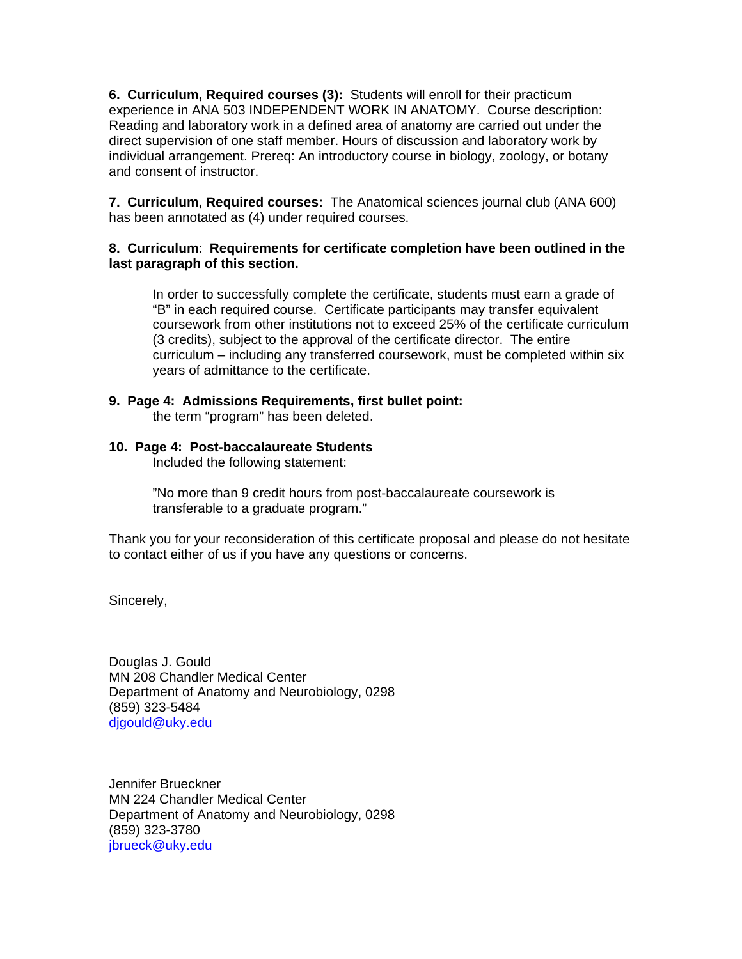**6. Curriculum, Required courses (3):** Students will enroll for their practicum experience in ANA 503 INDEPENDENT WORK IN ANATOMY. Course description: Reading and laboratory work in a defined area of anatomy are carried out under the direct supervision of one staff member. Hours of discussion and laboratory work by individual arrangement. Prereq: An introductory course in biology, zoology, or botany and consent of instructor.

**7. Curriculum, Required courses:** The Anatomical sciences journal club (ANA 600) has been annotated as (4) under required courses.

#### **8. Curriculum**: **Requirements for certificate completion have been outlined in the last paragraph of this section.**

In order to successfully complete the certificate, students must earn a grade of "B" in each required course. Certificate participants may transfer equivalent coursework from other institutions not to exceed 25% of the certificate curriculum (3 credits), subject to the approval of the certificate director. The entire curriculum – including any transferred coursework, must be completed within six years of admittance to the certificate.

#### **9. Page 4: Admissions Requirements, first bullet point:**

the term "program" has been deleted.

#### **10. Page 4: Post-baccalaureate Students**

Included the following statement:

"No more than 9 credit hours from post-baccalaureate coursework is transferable to a graduate program."

Thank you for your reconsideration of this certificate proposal and please do not hesitate to contact either of us if you have any questions or concerns.

Sincerely,

Douglas J. Gould MN 208 Chandler Medical Center Department of Anatomy and Neurobiology, 0298 (859) 323-5484 djgould@uky.edu

Jennifer Brueckner MN 224 Chandler Medical Center Department of Anatomy and Neurobiology, 0298 (859) 323-3780 jbrueck@uky.edu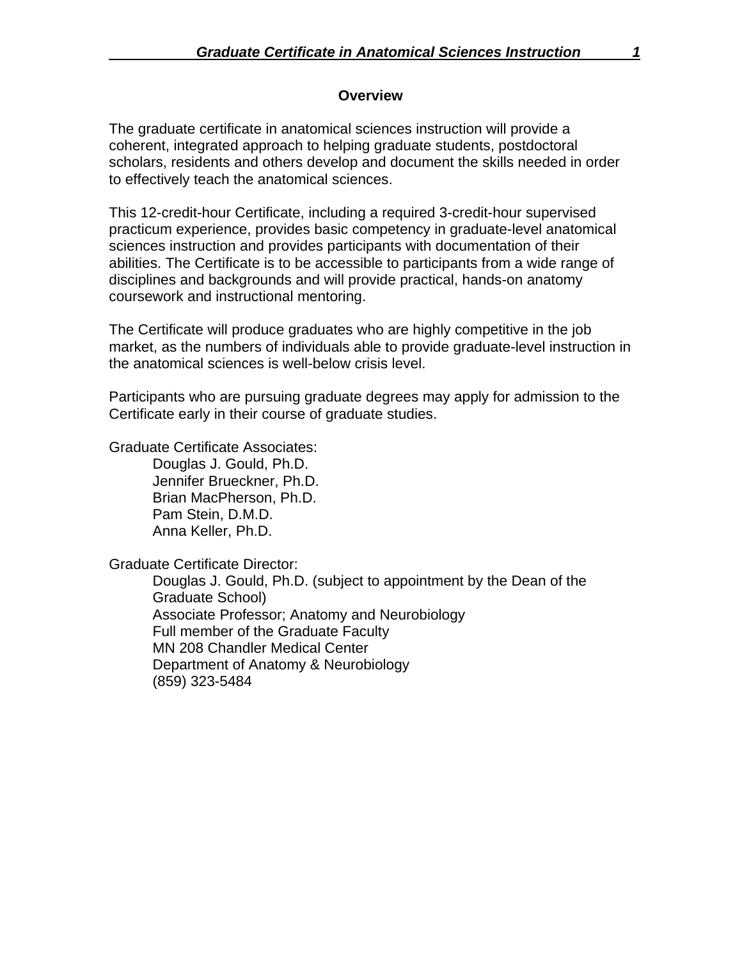#### **Overview**

The graduate certificate in anatomical sciences instruction will provide a coherent, integrated approach to helping graduate students, postdoctoral scholars, residents and others develop and document the skills needed in order to effectively teach the anatomical sciences.

This 12-credit-hour Certificate, including a required 3-credit-hour supervised practicum experience, provides basic competency in graduate-level anatomical sciences instruction and provides participants with documentation of their abilities. The Certificate is to be accessible to participants from a wide range of disciplines and backgrounds and will provide practical, hands-on anatomy coursework and instructional mentoring.

The Certificate will produce graduates who are highly competitive in the job market, as the numbers of individuals able to provide graduate-level instruction in the anatomical sciences is well-below crisis level.

Participants who are pursuing graduate degrees may apply for admission to the Certificate early in their course of graduate studies.

Graduate Certificate Associates:

 Douglas J. Gould, Ph.D. Jennifer Brueckner, Ph.D. Brian MacPherson, Ph.D. Pam Stein, D.M.D. Anna Keller, Ph.D.

Graduate Certificate Director:

Douglas J. Gould, Ph.D. (subject to appointment by the Dean of the Graduate School) Associate Professor; Anatomy and Neurobiology Full member of the Graduate Faculty MN 208 Chandler Medical Center Department of Anatomy & Neurobiology (859) 323-5484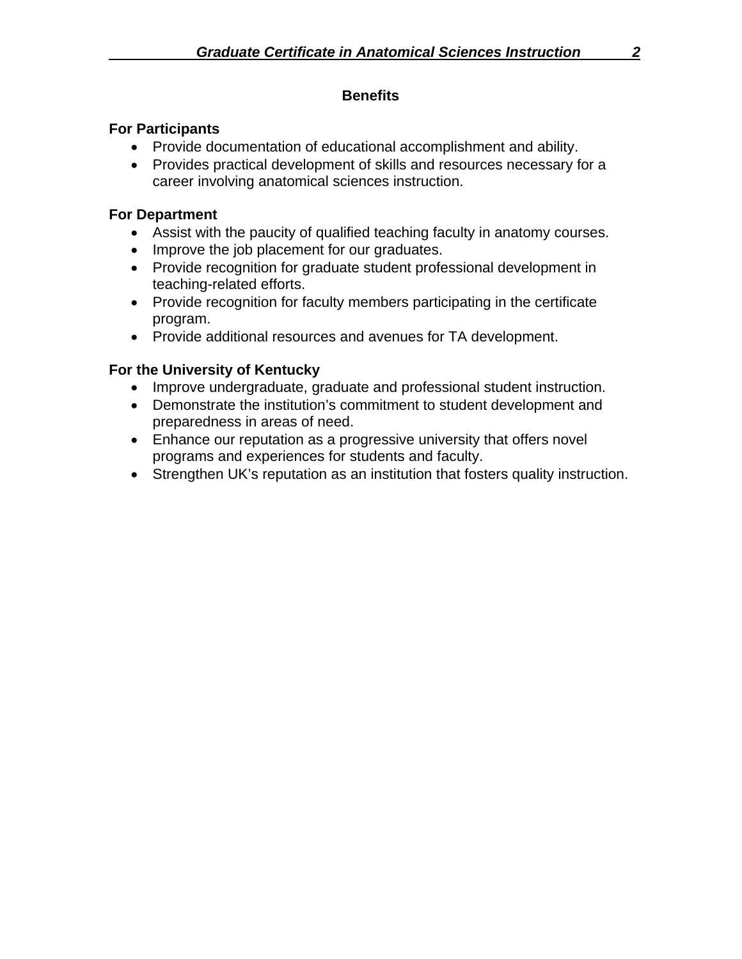### **Benefits**

### **For Participants**

- Provide documentation of educational accomplishment and ability.
- Provides practical development of skills and resources necessary for a career involving anatomical sciences instruction.

## **For Department**

- Assist with the paucity of qualified teaching faculty in anatomy courses.
- Improve the job placement for our graduates.
- Provide recognition for graduate student professional development in teaching-related efforts.
- Provide recognition for faculty members participating in the certificate program.
- Provide additional resources and avenues for TA development.

# **For the University of Kentucky**

- Improve undergraduate, graduate and professional student instruction.
- Demonstrate the institution's commitment to student development and preparedness in areas of need.
- Enhance our reputation as a progressive university that offers novel programs and experiences for students and faculty.
- Strengthen UK's reputation as an institution that fosters quality instruction.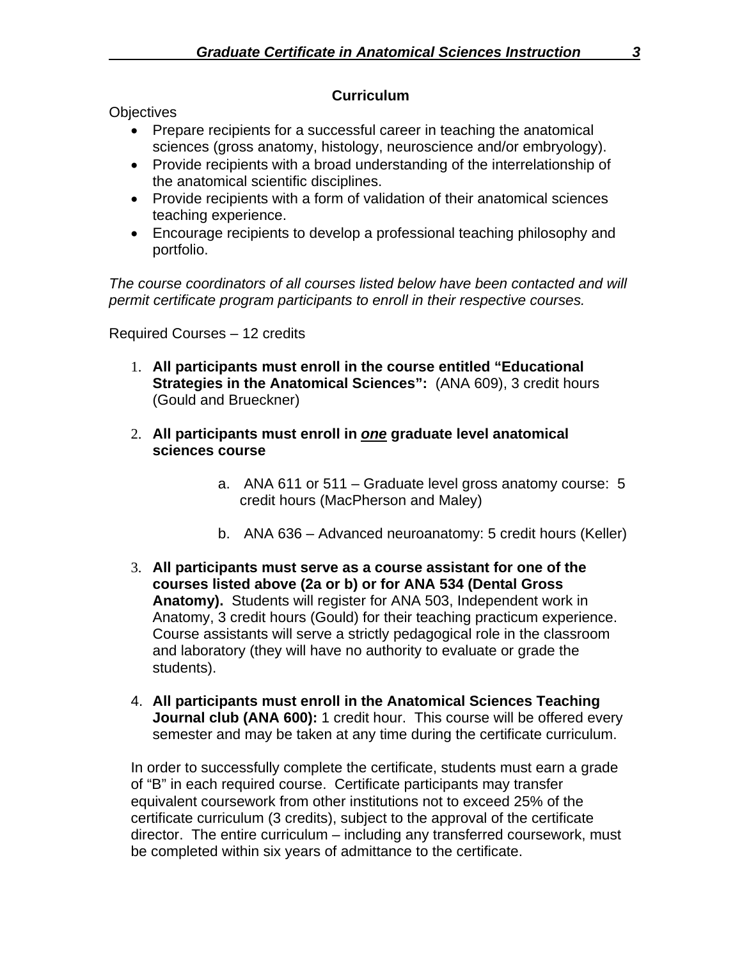#### **Curriculum**

**Objectives** 

- Prepare recipients for a successful career in teaching the anatomical sciences (gross anatomy, histology, neuroscience and/or embryology).
- Provide recipients with a broad understanding of the interrelationship of the anatomical scientific disciplines.
- Provide recipients with a form of validation of their anatomical sciences teaching experience.
- Encourage recipients to develop a professional teaching philosophy and portfolio.

*The course coordinators of all courses listed below have been contacted and will permit certificate program participants to enroll in their respective courses.* 

Required Courses – 12 credits

- 1. **All participants must enroll in the course entitled "Educational Strategies in the Anatomical Sciences":** (ANA 609), 3 credit hours (Gould and Brueckner)
- 2. **All participants must enroll in** *one* **graduate level anatomical sciences course** 
	- a. ANA 611 or 511 Graduate level gross anatomy course: 5 credit hours (MacPherson and Maley)
	- b. ANA 636 Advanced neuroanatomy: 5 credit hours (Keller)
- 3. **All participants must serve as a course assistant for one of the courses listed above (2a or b) or for ANA 534 (Dental Gross Anatomy).** Students will register for ANA 503, Independent work in Anatomy, 3 credit hours (Gould) for their teaching practicum experience. Course assistants will serve a strictly pedagogical role in the classroom and laboratory (they will have no authority to evaluate or grade the students).
- 4. **All participants must enroll in the Anatomical Sciences Teaching Journal club (ANA 600):** 1 credit hour. This course will be offered every semester and may be taken at any time during the certificate curriculum.

In order to successfully complete the certificate, students must earn a grade of "B" in each required course. Certificate participants may transfer equivalent coursework from other institutions not to exceed 25% of the certificate curriculum (3 credits), subject to the approval of the certificate director. The entire curriculum – including any transferred coursework, must be completed within six years of admittance to the certificate.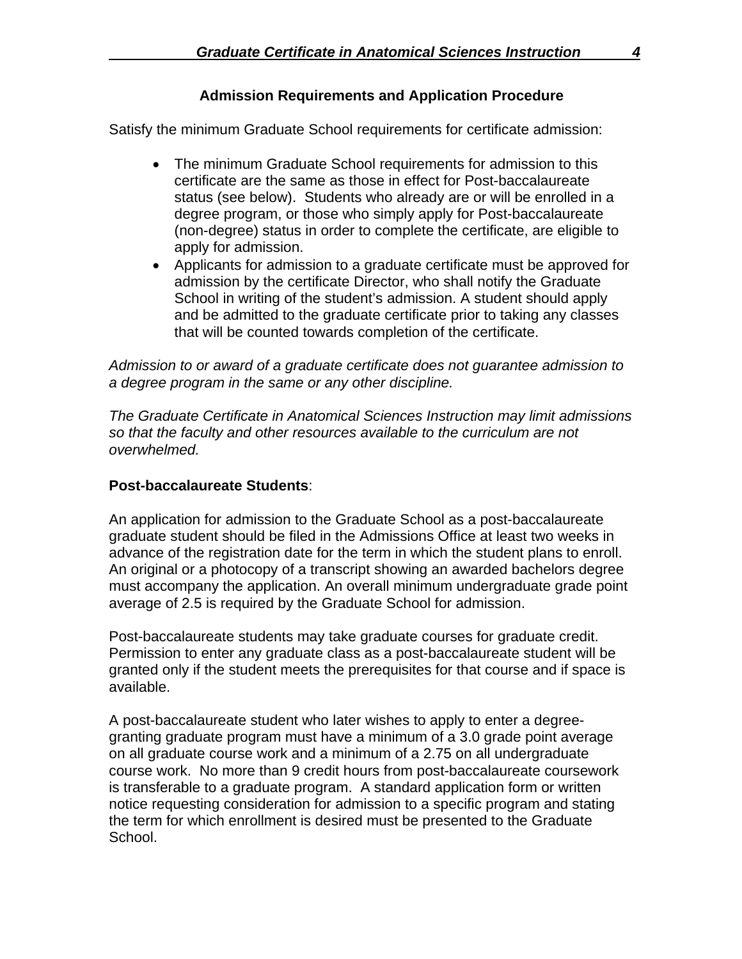## **Admission Requirements and Application Procedure**

Satisfy the minimum Graduate School requirements for certificate admission:

- The minimum Graduate School requirements for admission to this certificate are the same as those in effect for Post-baccalaureate status (see below). Students who already are or will be enrolled in a degree program, or those who simply apply for Post-baccalaureate (non-degree) status in order to complete the certificate, are eligible to apply for admission.
- Applicants for admission to a graduate certificate must be approved for admission by the certificate Director, who shall notify the Graduate School in writing of the student's admission. A student should apply and be admitted to the graduate certificate prior to taking any classes that will be counted towards completion of the certificate.

*Admission to or award of a graduate certificate does not guarantee admission to a degree program in the same or any other discipline.* 

*The Graduate Certificate in Anatomical Sciences Instruction may limit admissions so that the faculty and other resources available to the curriculum are not overwhelmed.* 

### **Post-baccalaureate Students**:

An application for admission to the Graduate School as a post-baccalaureate graduate student should be filed in the Admissions Office at least two weeks in advance of the registration date for the term in which the student plans to enroll. An original or a photocopy of a transcript showing an awarded bachelors degree must accompany the application. An overall minimum undergraduate grade point average of 2.5 is required by the Graduate School for admission.

Post-baccalaureate students may take graduate courses for graduate credit. Permission to enter any graduate class as a post-baccalaureate student will be granted only if the student meets the prerequisites for that course and if space is available.

A post-baccalaureate student who later wishes to apply to enter a degreegranting graduate program must have a minimum of a 3.0 grade point average on all graduate course work and a minimum of a 2.75 on all undergraduate course work. No more than 9 credit hours from post-baccalaureate coursework is transferable to a graduate program. A standard application form or written notice requesting consideration for admission to a specific program and stating the term for which enrollment is desired must be presented to the Graduate School.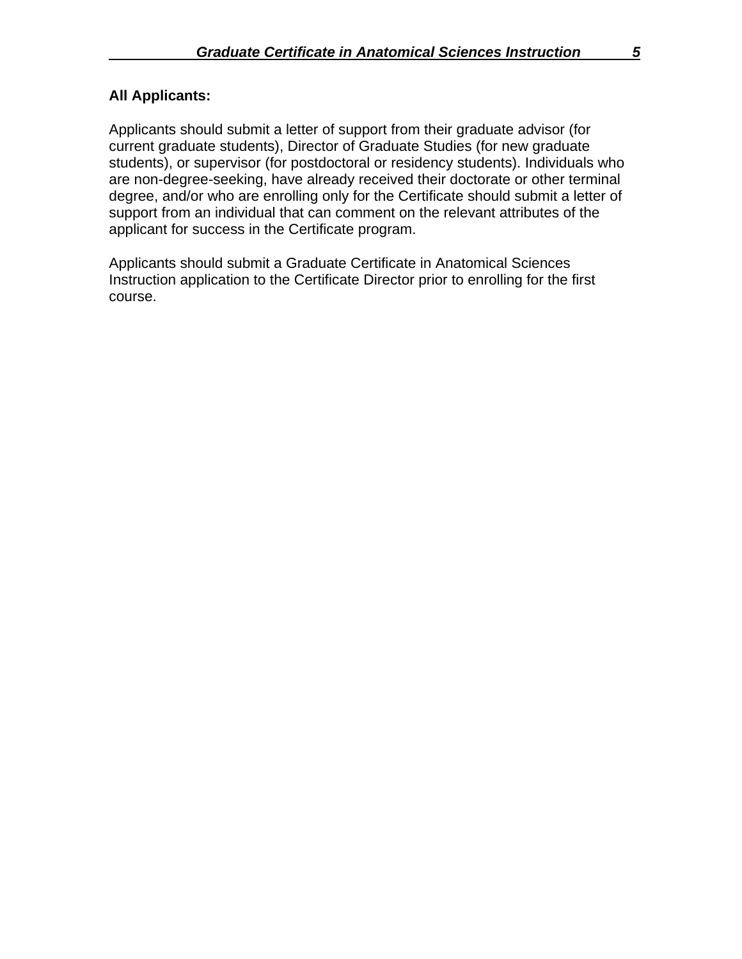## **All Applicants:**

Applicants should submit a letter of support from their graduate advisor (for current graduate students), Director of Graduate Studies (for new graduate students), or supervisor (for postdoctoral or residency students). Individuals who are non-degree-seeking, have already received their doctorate or other terminal degree, and/or who are enrolling only for the Certificate should submit a letter of support from an individual that can comment on the relevant attributes of the applicant for success in the Certificate program.

Applicants should submit a Graduate Certificate in Anatomical Sciences Instruction application to the Certificate Director prior to enrolling for the first course.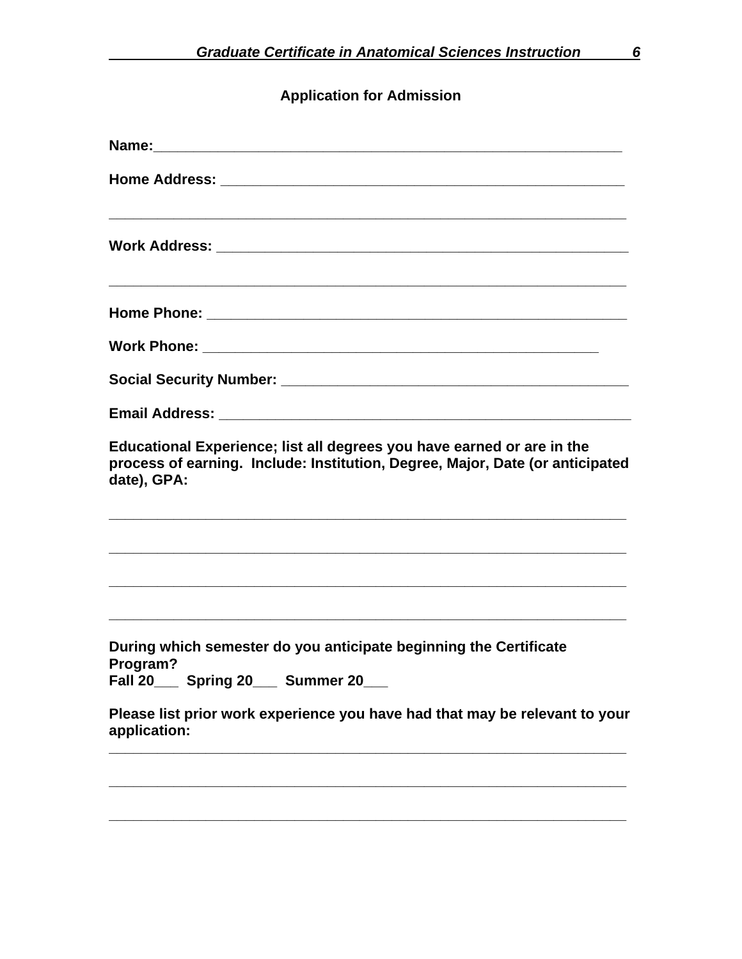# **Application for Admission**

| Educational Experience; list all degrees you have earned or are in the<br>process of earning. Include: Institution, Degree, Major, Date (or anticipated<br>date), GPA: |
|------------------------------------------------------------------------------------------------------------------------------------------------------------------------|
|                                                                                                                                                                        |
|                                                                                                                                                                        |
| During which semester do you anticipate beginning the Certificate<br>Program?<br>Fall 20___ Spring 20___ Summer 20_                                                    |
| Please list prior work experience you have had that may be relevant to your<br>application:                                                                            |
|                                                                                                                                                                        |

**\_\_\_\_\_\_\_\_\_\_\_\_\_\_\_\_\_\_\_\_\_\_\_\_\_\_\_\_\_\_\_\_\_\_\_\_\_\_\_\_\_\_\_\_\_\_\_\_\_\_\_\_\_\_\_\_\_\_\_\_\_\_\_\_**